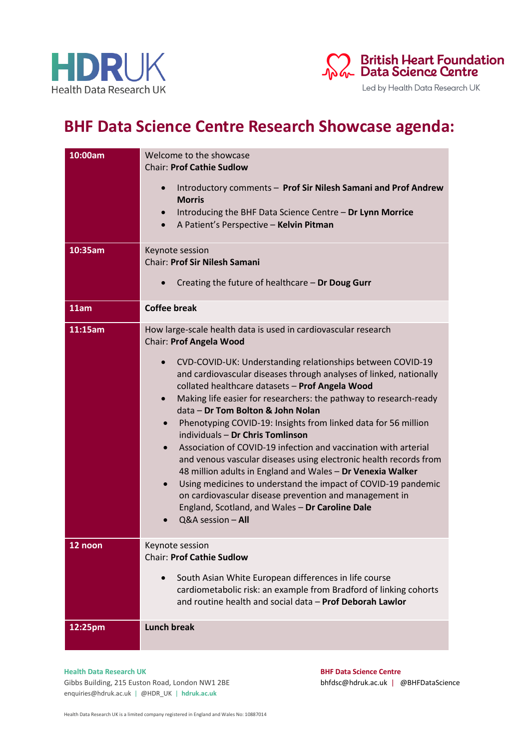



Led by Health Data Research UK

## **BHF Data Science Centre Research Showcase agenda:**

| 10:00am<br>10:35am | Welcome to the showcase<br><b>Chair: Prof Cathie Sudlow</b><br>Introductory comments - Prof Sir Nilesh Samani and Prof Andrew<br>$\bullet$<br><b>Morris</b><br>Introducing the BHF Data Science Centre - Dr Lynn Morrice<br>$\bullet$<br>A Patient's Perspective - Kelvin Pitman<br>$\bullet$<br>Keynote session                                                                                                                                                                                                                                                                                                                                                                                                                                                                                                                                                                                                                                              |
|--------------------|---------------------------------------------------------------------------------------------------------------------------------------------------------------------------------------------------------------------------------------------------------------------------------------------------------------------------------------------------------------------------------------------------------------------------------------------------------------------------------------------------------------------------------------------------------------------------------------------------------------------------------------------------------------------------------------------------------------------------------------------------------------------------------------------------------------------------------------------------------------------------------------------------------------------------------------------------------------|
|                    | <b>Chair: Prof Sir Nilesh Samani</b>                                                                                                                                                                                                                                                                                                                                                                                                                                                                                                                                                                                                                                                                                                                                                                                                                                                                                                                          |
|                    | Creating the future of healthcare - Dr Doug Gurr<br>$\bullet$                                                                                                                                                                                                                                                                                                                                                                                                                                                                                                                                                                                                                                                                                                                                                                                                                                                                                                 |
| 11am               | <b>Coffee break</b>                                                                                                                                                                                                                                                                                                                                                                                                                                                                                                                                                                                                                                                                                                                                                                                                                                                                                                                                           |
| 11:15am            | How large-scale health data is used in cardiovascular research<br>Chair: Prof Angela Wood<br>CVD-COVID-UK: Understanding relationships between COVID-19<br>and cardiovascular diseases through analyses of linked, nationally<br>collated healthcare datasets - Prof Angela Wood<br>Making life easier for researchers: the pathway to research-ready<br>$\bullet$<br>data - Dr Tom Bolton & John Nolan<br>Phenotyping COVID-19: Insights from linked data for 56 million<br>$\bullet$<br>individuals - Dr Chris Tomlinson<br>Association of COVID-19 infection and vaccination with arterial<br>$\bullet$<br>and venous vascular diseases using electronic health records from<br>48 million adults in England and Wales - Dr Venexia Walker<br>Using medicines to understand the impact of COVID-19 pandemic<br>$\bullet$<br>on cardiovascular disease prevention and management in<br>England, Scotland, and Wales - Dr Caroline Dale<br>Q&A session - All |
| $12$ noon          | Keynote session<br><b>Chair: Prof Cathie Sudlow</b><br>South Asian White European differences in life course<br>cardiometabolic risk: an example from Bradford of linking cohorts<br>and routine health and social data - Prof Deborah Lawlor                                                                                                                                                                                                                                                                                                                                                                                                                                                                                                                                                                                                                                                                                                                 |
| 12:25pm            | <b>Lunch break</b>                                                                                                                                                                                                                                                                                                                                                                                                                                                                                                                                                                                                                                                                                                                                                                                                                                                                                                                                            |

## **Health Data Research UK BHF Data Science Centre**

Gibbs Building, 215 Euston Road, London NW1 2BE bhfdsc@hdruk.ac.uk | @BHFDataScience enquiries@hdruk.ac.uk | @HDR\_UK | **hdruk.ac.uk**